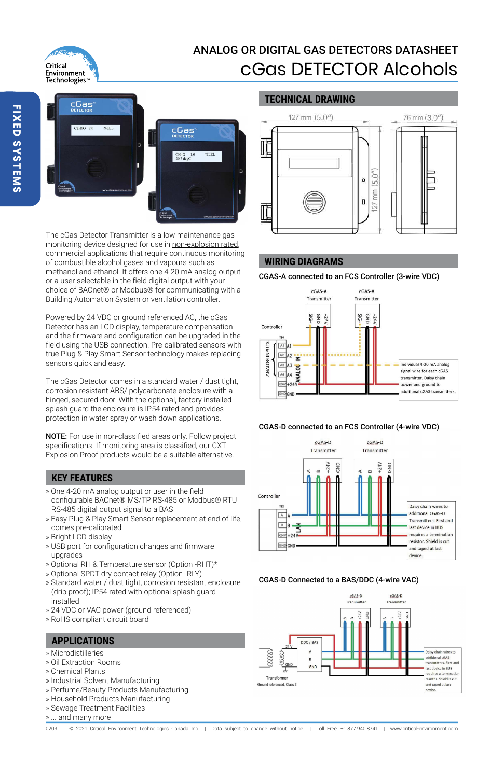# Critical **Environment** Technologies<sup>®</sup>

# ANALOG OR DIGITAL GAS DETECTORS DATASHEET cGas DETECTOR Alcohols

**TECHNICAL DRAWING**



The cGas Detector Transmitter is a low maintenance gas monitoring device designed for use in non-explosion rated, commercial applications that require continuous monitoring of combustible alcohol gases and vapours such as methanol and ethanol. It offers one 4-20 mA analog output or a user selectable in the field digital output with your choice of BACnet® or Modbus® for communicating with a Building Automation System or ventilation controller.

Powered by 24 VDC or ground referenced AC, the cGas Detector has an LCD display, temperature compensation and the firmware and configuration can be upgraded in the field using the USB connection. Pre-calibrated sensors with true Plug & Play Smart Sensor technology makes replacing sensors quick and easy.

The cGas Detector comes in a standard water / dust tight, corrosion resistant ABS/ polycarbonate enclosure with a hinged, secured door. With the optional, factory installed splash guard the enclosure is IP54 rated and provides protection in water spray or wash down applications.

NOTE: For use in non-classified areas only. Follow project specifications. If monitoring area is classified, our CXT Explosion Proof products would be a suitable alternative.

# **KEY FEATURES**

- » One 4-20 mA analog output or user in the field configurable BACnet® MS/TP RS-485 or Modbus® RTU RS-485 digital output signal to a BAS
- » Easy Plug & Play Smart Sensor replacement at end of life, comes pre-calibrated
- » Bright LCD display
- » USB port for configuration changes and firmware upgrades
- » Optional RH & Temperature sensor (Option -RHT)\*
- » Optional SPDT dry contact relay (Option -RLY)
- » Standard water / dust tight, corrosion resistant enclosure (drip proof); IP54 rated with optional splash guard installed
- » 24 VDC or VAC power (ground referenced)
- » RoHS compliant circuit board

# **APPLICATIONS**

- » Microdistilleries
- » Oil Extraction Rooms
- » Chemical Plants
- » Industrial Solvent Manufacturing
- » Perfume/Beauty Products Manufacturing
- » Household Products Manufacturing
- » Sewage Treatment Facilities
- » ... and many more



# **WIRING DIAGRAMS**

CGAS-A connected to an FCS Controller (3-wire VDC)







#### CGAS-D Connected to a BAS/DDC (4-wire VAC)



0203 | @ 2021 Critical Environment Technologies Canada Inc. | Data subject to change without notice. | Toll Free: +1.877.940.8741 | www.critical-environment.com